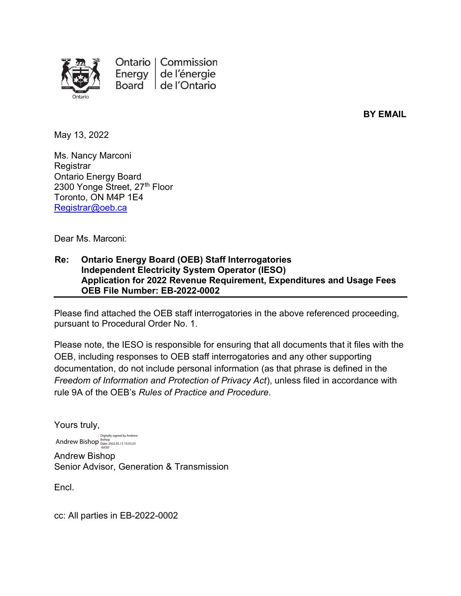

Ontario | Commission Energy de l'énergie Board de l'Ontario

BY EMAIL

May 13, 2022

Ms. Nancy Marconi **Registrar** Ontario Energy Board 2300 Yonge Street, 27th Floor Toronto, ON M4P 1E4 Registrar@oeb.ca

Dear Ms. Marconi:

#### Re: Ontario Energy Board (OEB) Staff Interrogatories Independent Electricity System Operator (IESO) Application for 2022 Revenue Requirement, Expenditures and Usage Fees OEB File Number: EB-2022-0002

Please find attached the OEB staff interrogatories in the above referenced proceeding, pursuant to Procedural Order No. 1.

Please note, the IESO is responsible for ensuring that all documents that it files with the OEB, including responses to OEB staff interrogatories and any other supporting documentation, do not include personal information (as that phrase is defined in the Freedom of Information and Protection of Privacy Act), unless filed in accordance with rule 9A of the OEB's Rules of Practice and Procedure.

Yours truly, Andrew Bishop Senior Advisor, Generation & Transmission Andrew Bishop Bishop<br>  $\overline{O}^{Bishop}_{Date: 2022.05.13\,15:53:23}$ Digitally signed by Andrew

Encl.

cc: All parties in EB-2022-0002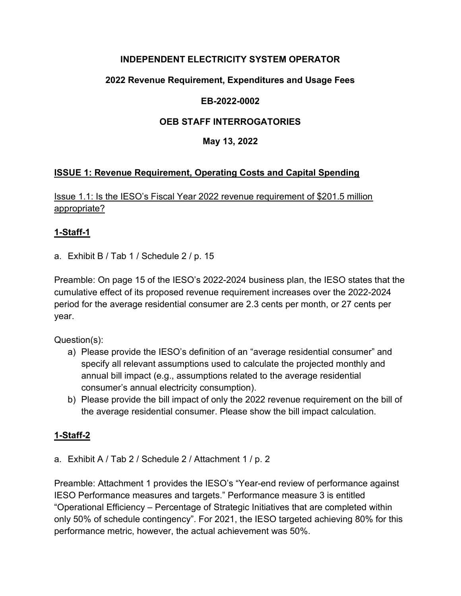### INDEPENDENT ELECTRICITY SYSTEM OPERATOR

## 2022 Revenue Requirement, Expenditures and Usage Fees

### EB-2022-0002

### OEB STAFF INTERROGATORIES

### May 13, 2022

## ISSUE 1: Revenue Requirement, Operating Costs and Capital Spending

Issue 1.1: Is the IESO's Fiscal Year 2022 revenue requirement of \$201.5 million appropriate?

#### 1-Staff-1

a. Exhibit B / Tab 1 / Schedule 2 / p. 15

Preamble: On page 15 of the IESO's 2022-2024 business plan, the IESO states that the cumulative effect of its proposed revenue requirement increases over the 2022-2024 period for the average residential consumer are 2.3 cents per month, or 27 cents per year.

Question(s):

- a) Please provide the IESO's definition of an "average residential consumer" and specify all relevant assumptions used to calculate the projected monthly and annual bill impact (e.g., assumptions related to the average residential consumer's annual electricity consumption).
- b) Please provide the bill impact of only the 2022 revenue requirement on the bill of the average residential consumer. Please show the bill impact calculation.

## 1-Staff-2

a. Exhibit A / Tab 2 / Schedule 2 / Attachment 1 / p. 2

Preamble: Attachment 1 provides the IESO's "Year-end review of performance against IESO Performance measures and targets." Performance measure 3 is entitled "Operational Efficiency – Percentage of Strategic Initiatives that are completed within only 50% of schedule contingency". For 2021, the IESO targeted achieving 80% for this performance metric, however, the actual achievement was 50%.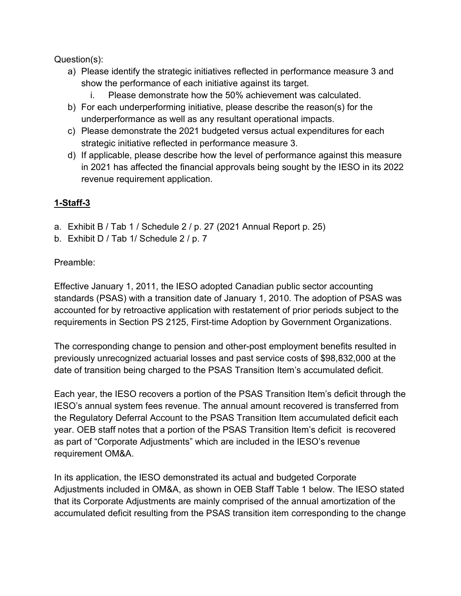Question(s):

- a) Please identify the strategic initiatives reflected in performance measure 3 and show the performance of each initiative against its target.
	- i. Please demonstrate how the 50% achievement was calculated.
- b) For each underperforming initiative, please describe the reason(s) for the underperformance as well as any resultant operational impacts.
- c) Please demonstrate the 2021 budgeted versus actual expenditures for each strategic initiative reflected in performance measure 3.
- d) If applicable, please describe how the level of performance against this measure in 2021 has affected the financial approvals being sought by the IESO in its 2022 revenue requirement application.

## 1-Staff-3

- a. Exhibit B / Tab 1 / Schedule 2 / p. 27 (2021 Annual Report p. 25)
- b. Exhibit D / Tab 1/ Schedule 2 / p. 7

#### Preamble:

Effective January 1, 2011, the IESO adopted Canadian public sector accounting standards (PSAS) with a transition date of January 1, 2010. The adoption of PSAS was accounted for by retroactive application with restatement of prior periods subject to the requirements in Section PS 2125, First-time Adoption by Government Organizations.

The corresponding change to pension and other-post employment benefits resulted in previously unrecognized actuarial losses and past service costs of \$98,832,000 at the date of transition being charged to the PSAS Transition Item's accumulated deficit.

Each year, the IESO recovers a portion of the PSAS Transition Item's deficit through the IESO's annual system fees revenue. The annual amount recovered is transferred from the Regulatory Deferral Account to the PSAS Transition Item accumulated deficit each year. OEB staff notes that a portion of the PSAS Transition Item's deficit is recovered as part of "Corporate Adjustments" which are included in the IESO's revenue requirement OM&A.

In its application, the IESO demonstrated its actual and budgeted Corporate Adjustments included in OM&A, as shown in OEB Staff Table 1 below. The IESO stated that its Corporate Adjustments are mainly comprised of the annual amortization of the accumulated deficit resulting from the PSAS transition item corresponding to the change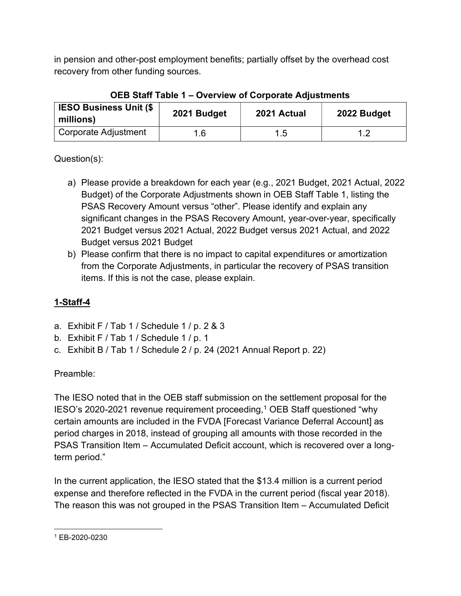in pension and other-post employment benefits; partially offset by the overhead cost recovery from other funding sources.

| <b>IESO Business Unit (\$</b><br>millions) | 2021 Budget | 2021 Actual | 2022 Budget |
|--------------------------------------------|-------------|-------------|-------------|
| Corporate Adjustment                       | 1.6         | 1.5         |             |

## OEB Staff Table 1 – Overview of Corporate Adjustments

Question(s):

- a) Please provide a breakdown for each year (e.g., 2021 Budget, 2021 Actual, 2022 Budget) of the Corporate Adjustments shown in OEB Staff Table 1, listing the PSAS Recovery Amount versus "other". Please identify and explain any significant changes in the PSAS Recovery Amount, year-over-year, specifically 2021 Budget versus 2021 Actual, 2022 Budget versus 2021 Actual, and 2022 Budget versus 2021 Budget
- b) Please confirm that there is no impact to capital expenditures or amortization from the Corporate Adjustments, in particular the recovery of PSAS transition items. If this is not the case, please explain.

# 1-Staff-4

- a. Exhibit F / Tab 1 / Schedule 1 / p. 2 & 3
- b. Exhibit F / Tab 1 / Schedule 1 / p. 1
- c. Exhibit B / Tab 1 / Schedule 2 / p. 24 (2021 Annual Report p. 22)

# Preamble:

The IESO noted that in the OEB staff submission on the settlement proposal for the IESO's 2020-2021 revenue requirement proceeding,<sup>1</sup> OEB Staff questioned "why certain amounts are included in the FVDA [Forecast Variance Deferral Account] as period charges in 2018, instead of grouping all amounts with those recorded in the PSAS Transition Item – Accumulated Deficit account, which is recovered over a longterm period."

In the current application, the IESO stated that the \$13.4 million is a current period expense and therefore reflected in the FVDA in the current period (fiscal year 2018). The reason this was not grouped in the PSAS Transition Item – Accumulated Deficit

<sup>1</sup> EB-2020-0230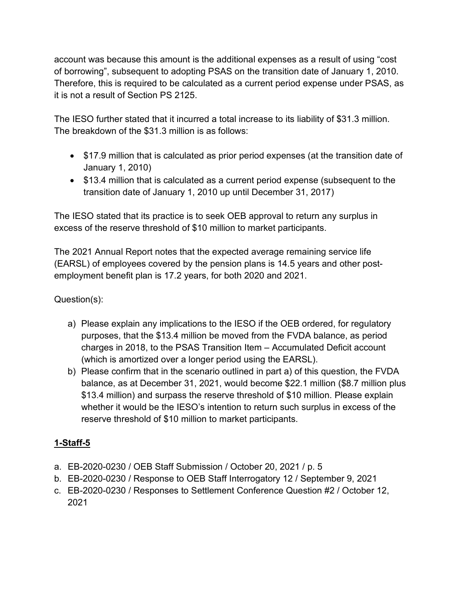account was because this amount is the additional expenses as a result of using "cost of borrowing", subsequent to adopting PSAS on the transition date of January 1, 2010. Therefore, this is required to be calculated as a current period expense under PSAS, as it is not a result of Section PS 2125.

The IESO further stated that it incurred a total increase to its liability of \$31.3 million. The breakdown of the \$31.3 million is as follows:

- \$17.9 million that is calculated as prior period expenses (at the transition date of January 1, 2010)
- \$13.4 million that is calculated as a current period expense (subsequent to the transition date of January 1, 2010 up until December 31, 2017)

The IESO stated that its practice is to seek OEB approval to return any surplus in excess of the reserve threshold of \$10 million to market participants.

The 2021 Annual Report notes that the expected average remaining service life (EARSL) of employees covered by the pension plans is 14.5 years and other postemployment benefit plan is 17.2 years, for both 2020 and 2021.

Question(s):

- a) Please explain any implications to the IESO if the OEB ordered, for regulatory purposes, that the \$13.4 million be moved from the FVDA balance, as period charges in 2018, to the PSAS Transition Item – Accumulated Deficit account (which is amortized over a longer period using the EARSL).
- b) Please confirm that in the scenario outlined in part a) of this question, the FVDA balance, as at December 31, 2021, would become \$22.1 million (\$8.7 million plus \$13.4 million) and surpass the reserve threshold of \$10 million. Please explain whether it would be the IESO's intention to return such surplus in excess of the reserve threshold of \$10 million to market participants.

## 1-Staff-5

- a. EB-2020-0230 / OEB Staff Submission / October 20, 2021 / p. 5
- b. EB-2020-0230 / Response to OEB Staff Interrogatory 12 / September 9, 2021
- c. EB-2020-0230 / Responses to Settlement Conference Question #2 / October 12, 2021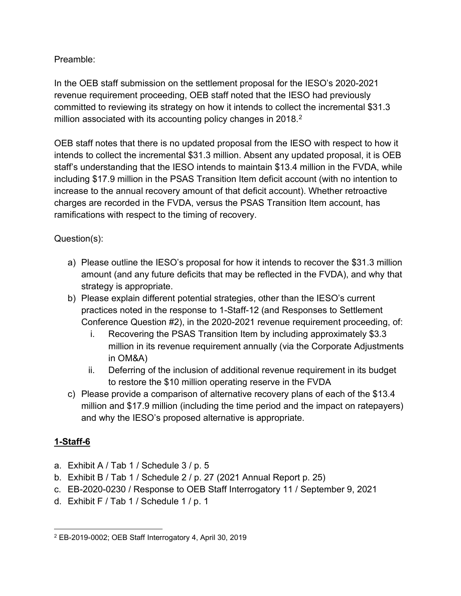## Preamble:

In the OEB staff submission on the settlement proposal for the IESO's 2020-2021 revenue requirement proceeding, OEB staff noted that the IESO had previously committed to reviewing its strategy on how it intends to collect the incremental \$31.3 million associated with its accounting policy changes in 2018.<sup>2</sup>

OEB staff notes that there is no updated proposal from the IESO with respect to how it intends to collect the incremental \$31.3 million. Absent any updated proposal, it is OEB staff's understanding that the IESO intends to maintain \$13.4 million in the FVDA, while including \$17.9 million in the PSAS Transition Item deficit account (with no intention to increase to the annual recovery amount of that deficit account). Whether retroactive charges are recorded in the FVDA, versus the PSAS Transition Item account, has ramifications with respect to the timing of recovery.

## Question(s):

- a) Please outline the IESO's proposal for how it intends to recover the \$31.3 million amount (and any future deficits that may be reflected in the FVDA), and why that strategy is appropriate.
- b) Please explain different potential strategies, other than the IESO's current practices noted in the response to 1-Staff-12 (and Responses to Settlement Conference Question #2), in the 2020-2021 revenue requirement proceeding, of:
	- i. Recovering the PSAS Transition Item by including approximately \$3.3 million in its revenue requirement annually (via the Corporate Adjustments in OM&A)
	- ii. Deferring of the inclusion of additional revenue requirement in its budget to restore the \$10 million operating reserve in the FVDA
- c) Please provide a comparison of alternative recovery plans of each of the \$13.4 million and \$17.9 million (including the time period and the impact on ratepayers) and why the IESO's proposed alternative is appropriate.

## 1-Staff-6

- a. Exhibit A / Tab 1 / Schedule 3 / p. 5
- b. Exhibit B / Tab 1 / Schedule 2 / p. 27 (2021 Annual Report p. 25)
- c. EB-2020-0230 / Response to OEB Staff Interrogatory 11 / September 9, 2021
- d. Exhibit F / Tab 1 / Schedule 1 / p. 1

<sup>2</sup> EB-2019-0002; OEB Staff Interrogatory 4, April 30, 2019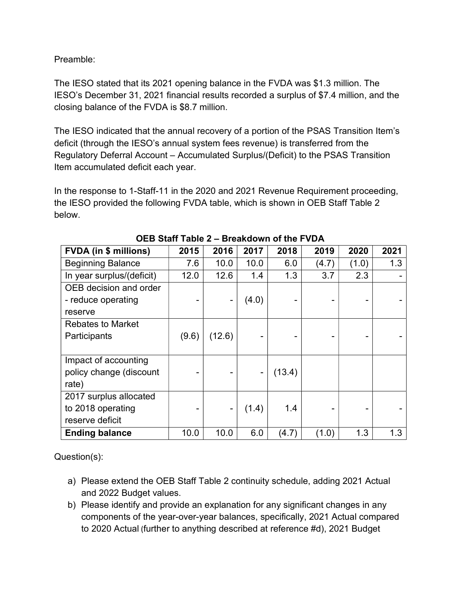Preamble:

The IESO stated that its 2021 opening balance in the FVDA was \$1.3 million. The IESO's December 31, 2021 financial results recorded a surplus of \$7.4 million, and the closing balance of the FVDA is \$8.7 million.

The IESO indicated that the annual recovery of a portion of the PSAS Transition Item's deficit (through the IESO's annual system fees revenue) is transferred from the Regulatory Deferral Account – Accumulated Surplus/(Deficit) to the PSAS Transition Item accumulated deficit each year.

In the response to 1-Staff-11 in the 2020 and 2021 Revenue Requirement proceeding, the IESO provided the following FVDA table, which is shown in OEB Staff Table 2 below.

| <b>FVDA (in \$ millions)</b> | 2015  | 2016   | 2017                         | 2018   | 2019  | 2020  | 2021 |
|------------------------------|-------|--------|------------------------------|--------|-------|-------|------|
| <b>Beginning Balance</b>     | 7.6   | 10.0   | 10.0                         | 6.0    | (4.7) | (1.0) | 1.3  |
| In year surplus/(deficit)    | 12.0  | 12.6   | 1.4                          | 1.3    | 3.7   | 2.3   |      |
| OEB decision and order       |       |        |                              |        |       |       |      |
| - reduce operating           |       |        | (4.0)                        |        |       |       |      |
| reserve                      |       |        |                              |        |       |       |      |
| <b>Rebates to Market</b>     |       |        |                              |        |       |       |      |
| Participants                 | (9.6) | (12.6) |                              |        |       |       |      |
|                              |       |        |                              |        |       |       |      |
| Impact of accounting         |       |        |                              |        |       |       |      |
| policy change (discount      |       |        | $\qquad \qquad \blacksquare$ | (13.4) |       |       |      |
| rate)                        |       |        |                              |        |       |       |      |
| 2017 surplus allocated       |       |        |                              |        |       |       |      |
| to 2018 operating            |       |        | (1.4)                        | 1.4    |       |       |      |
| reserve deficit              |       |        |                              |        |       |       |      |
| <b>Ending balance</b>        | 10.0  | 10.0   | 6.0                          | (4.7)  | (1.0) | 1.3   | 1.3  |

- a) Please extend the OEB Staff Table 2 continuity schedule, adding 2021 Actual and 2022 Budget values.
- b) Please identify and provide an explanation for any significant changes in any components of the year-over-year balances, specifically, 2021 Actual compared to 2020 Actual (further to anything described at reference #d), 2021 Budget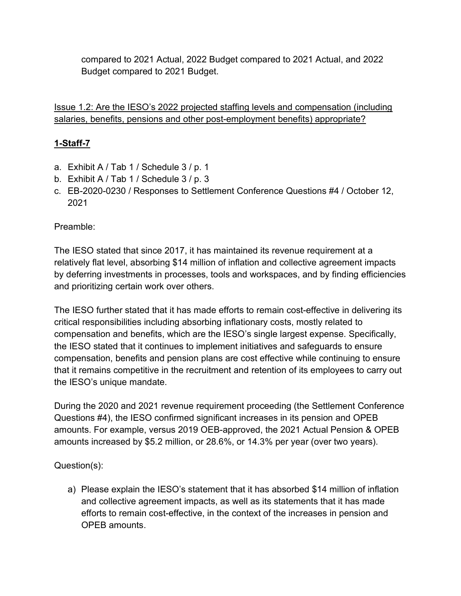compared to 2021 Actual, 2022 Budget compared to 2021 Actual, and 2022 Budget compared to 2021 Budget.

Issue 1.2: Are the IESO's 2022 projected staffing levels and compensation (including salaries, benefits, pensions and other post-employment benefits) appropriate?

## 1-Staff-7

- a. Exhibit A / Tab 1 / Schedule 3 / p. 1
- b. Exhibit A / Tab 1 / Schedule 3 / p. 3
- c. EB-2020-0230 / Responses to Settlement Conference Questions #4 / October 12, 2021

### Preamble:

The IESO stated that since 2017, it has maintained its revenue requirement at a relatively flat level, absorbing \$14 million of inflation and collective agreement impacts by deferring investments in processes, tools and workspaces, and by finding efficiencies and prioritizing certain work over others.

The IESO further stated that it has made efforts to remain cost-effective in delivering its critical responsibilities including absorbing inflationary costs, mostly related to compensation and benefits, which are the IESO's single largest expense. Specifically, the IESO stated that it continues to implement initiatives and safeguards to ensure compensation, benefits and pension plans are cost effective while continuing to ensure that it remains competitive in the recruitment and retention of its employees to carry out the IESO's unique mandate.

During the 2020 and 2021 revenue requirement proceeding (the Settlement Conference Questions #4), the IESO confirmed significant increases in its pension and OPEB amounts. For example, versus 2019 OEB-approved, the 2021 Actual Pension & OPEB amounts increased by \$5.2 million, or 28.6%, or 14.3% per year (over two years).

#### Question(s):

a) Please explain the IESO's statement that it has absorbed \$14 million of inflation and collective agreement impacts, as well as its statements that it has made efforts to remain cost-effective, in the context of the increases in pension and OPEB amounts.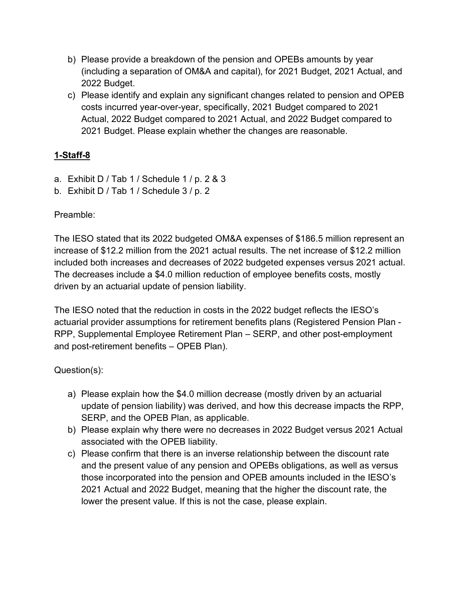- b) Please provide a breakdown of the pension and OPEBs amounts by year (including a separation of OM&A and capital), for 2021 Budget, 2021 Actual, and 2022 Budget.
- c) Please identify and explain any significant changes related to pension and OPEB costs incurred year-over-year, specifically, 2021 Budget compared to 2021 Actual, 2022 Budget compared to 2021 Actual, and 2022 Budget compared to 2021 Budget. Please explain whether the changes are reasonable.

- a. Exhibit D / Tab 1 / Schedule 1 / p. 2 & 3
- b. Exhibit D / Tab 1 / Schedule 3 / p. 2

Preamble:

The IESO stated that its 2022 budgeted OM&A expenses of \$186.5 million represent an increase of \$12.2 million from the 2021 actual results. The net increase of \$12.2 million included both increases and decreases of 2022 budgeted expenses versus 2021 actual. The decreases include a \$4.0 million reduction of employee benefits costs, mostly driven by an actuarial update of pension liability.

The IESO noted that the reduction in costs in the 2022 budget reflects the IESO's actuarial provider assumptions for retirement benefits plans (Registered Pension Plan - RPP, Supplemental Employee Retirement Plan – SERP, and other post-employment and post-retirement benefits – OPEB Plan).

- a) Please explain how the \$4.0 million decrease (mostly driven by an actuarial update of pension liability) was derived, and how this decrease impacts the RPP, SERP, and the OPEB Plan, as applicable.
- b) Please explain why there were no decreases in 2022 Budget versus 2021 Actual associated with the OPEB liability.
- c) Please confirm that there is an inverse relationship between the discount rate and the present value of any pension and OPEBs obligations, as well as versus those incorporated into the pension and OPEB amounts included in the IESO's 2021 Actual and 2022 Budget, meaning that the higher the discount rate, the lower the present value. If this is not the case, please explain.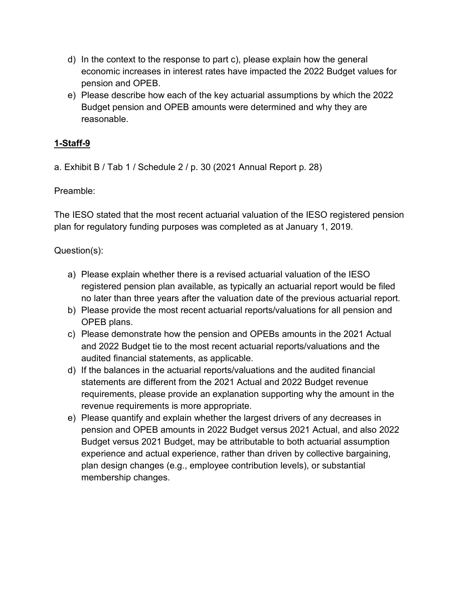- d) In the context to the response to part c), please explain how the general economic increases in interest rates have impacted the 2022 Budget values for pension and OPEB.
- e) Please describe how each of the key actuarial assumptions by which the 2022 Budget pension and OPEB amounts were determined and why they are reasonable.

a. Exhibit B / Tab 1 / Schedule 2 / p. 30 (2021 Annual Report p. 28)

Preamble:

The IESO stated that the most recent actuarial valuation of the IESO registered pension plan for regulatory funding purposes was completed as at January 1, 2019.

- a) Please explain whether there is a revised actuarial valuation of the IESO registered pension plan available, as typically an actuarial report would be filed no later than three years after the valuation date of the previous actuarial report.
- b) Please provide the most recent actuarial reports/valuations for all pension and OPEB plans.
- c) Please demonstrate how the pension and OPEBs amounts in the 2021 Actual and 2022 Budget tie to the most recent actuarial reports/valuations and the audited financial statements, as applicable.
- d) If the balances in the actuarial reports/valuations and the audited financial statements are different from the 2021 Actual and 2022 Budget revenue requirements, please provide an explanation supporting why the amount in the revenue requirements is more appropriate.
- e) Please quantify and explain whether the largest drivers of any decreases in pension and OPEB amounts in 2022 Budget versus 2021 Actual, and also 2022 Budget versus 2021 Budget, may be attributable to both actuarial assumption experience and actual experience, rather than driven by collective bargaining, plan design changes (e.g., employee contribution levels), or substantial membership changes.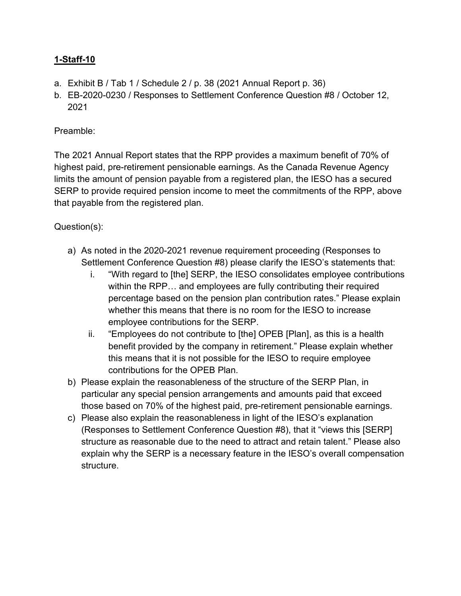- a. Exhibit B / Tab 1 / Schedule 2 / p. 38 (2021 Annual Report p. 36)
- b. EB-2020-0230 / Responses to Settlement Conference Question #8 / October 12, 2021

### Preamble:

The 2021 Annual Report states that the RPP provides a maximum benefit of 70% of highest paid, pre-retirement pensionable earnings. As the Canada Revenue Agency limits the amount of pension payable from a registered plan, the IESO has a secured SERP to provide required pension income to meet the commitments of the RPP, above that payable from the registered plan.

- a) As noted in the 2020-2021 revenue requirement proceeding (Responses to Settlement Conference Question #8) please clarify the IESO's statements that:
	- i. "With regard to [the] SERP, the IESO consolidates employee contributions within the RPP… and employees are fully contributing their required percentage based on the pension plan contribution rates." Please explain whether this means that there is no room for the IESO to increase employee contributions for the SERP.
	- ii. "Employees do not contribute to [the] OPEB [Plan], as this is a health benefit provided by the company in retirement." Please explain whether this means that it is not possible for the IESO to require employee contributions for the OPEB Plan.
- b) Please explain the reasonableness of the structure of the SERP Plan, in particular any special pension arrangements and amounts paid that exceed those based on 70% of the highest paid, pre-retirement pensionable earnings.
- c) Please also explain the reasonableness in light of the IESO's explanation (Responses to Settlement Conference Question #8), that it "views this [SERP] structure as reasonable due to the need to attract and retain talent." Please also explain why the SERP is a necessary feature in the IESO's overall compensation structure.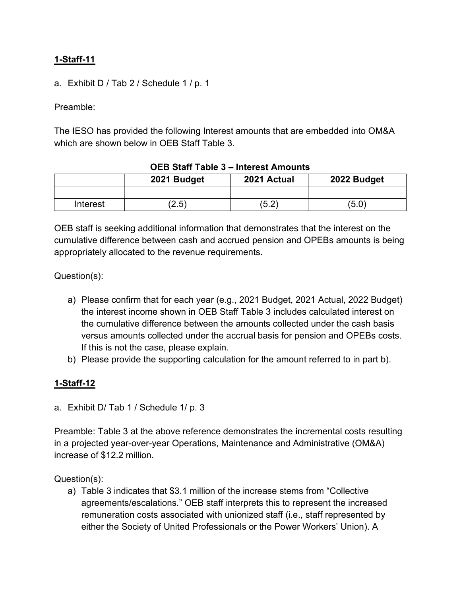a. Exhibit D / Tab 2 / Schedule 1 / p. 1

Preamble:

The IESO has provided the following Interest amounts that are embedded into OM&A which are shown below in OEB Staff Table 3.

|          | $\sim$ $\sim$ $\sim$ $\sim$ $\sim$ $\sim$ |             |             |
|----------|-------------------------------------------|-------------|-------------|
|          | 2021 Budget                               | 2021 Actual | 2022 Budget |
|          |                                           |             |             |
| Interest | (2.5)                                     | (5.2)       | (5.0)       |

#### OEB Staff Table 3 – Interest Amounts

OEB staff is seeking additional information that demonstrates that the interest on the cumulative difference between cash and accrued pension and OPEBs amounts is being appropriately allocated to the revenue requirements.

Question(s):

- a) Please confirm that for each year (e.g., 2021 Budget, 2021 Actual, 2022 Budget) the interest income shown in OEB Staff Table 3 includes calculated interest on the cumulative difference between the amounts collected under the cash basis versus amounts collected under the accrual basis for pension and OPEBs costs. If this is not the case, please explain.
- b) Please provide the supporting calculation for the amount referred to in part b).

#### 1-Staff-12

a. Exhibit D/ Tab 1 / Schedule 1/ p. 3

Preamble: Table 3 at the above reference demonstrates the incremental costs resulting in a projected year-over-year Operations, Maintenance and Administrative (OM&A) increase of \$12.2 million.

Question(s):

a) Table 3 indicates that \$3.1 million of the increase stems from "Collective agreements/escalations." OEB staff interprets this to represent the increased remuneration costs associated with unionized staff (i.e., staff represented by either the Society of United Professionals or the Power Workers' Union). A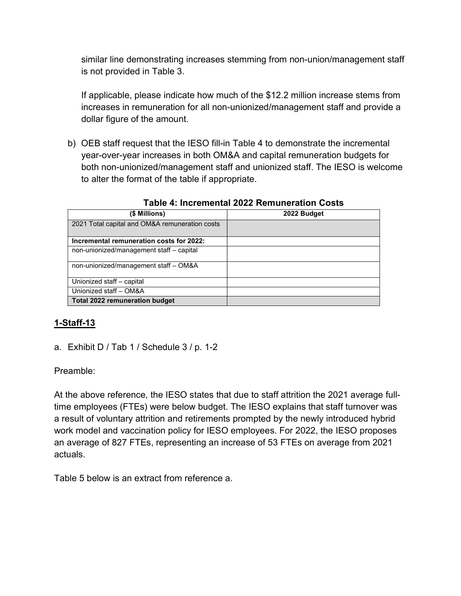similar line demonstrating increases stemming from non-union/management staff is not provided in Table 3.

If applicable, please indicate how much of the \$12.2 million increase stems from increases in remuneration for all non-unionized/management staff and provide a dollar figure of the amount.

b) OEB staff request that the IESO fill-in Table 4 to demonstrate the incremental year-over-year increases in both OM&A and capital remuneration budgets for both non-unionized/management staff and unionized staff. The IESO is welcome to alter the format of the table if appropriate.

| (\$ Millions)                                  | 2022 Budget |
|------------------------------------------------|-------------|
| 2021 Total capital and OM&A remuneration costs |             |
| Incremental remuneration costs for 2022:       |             |
| non-unionized/management staff - capital       |             |
| non-unionized/management staff - OM&A          |             |
| Unionized staff - capital                      |             |
| Unionized staff - OM&A                         |             |
| <b>Total 2022 remuneration budget</b>          |             |

Table 4: Incremental 2022 Remuneration Costs

# 1-Staff-13

a. Exhibit D / Tab 1 / Schedule 3 / p. 1-2

Preamble:

At the above reference, the IESO states that due to staff attrition the 2021 average fulltime employees (FTEs) were below budget. The IESO explains that staff turnover was a result of voluntary attrition and retirements prompted by the newly introduced hybrid work model and vaccination policy for IESO employees. For 2022, the IESO proposes an average of 827 FTEs, representing an increase of 53 FTEs on average from 2021 actuals.

Table 5 below is an extract from reference a.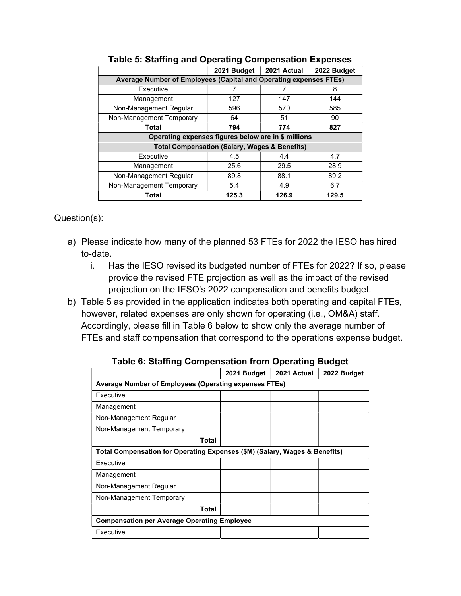|                                                                   | 2021 Budget | 2021 Actual | 2022 Budget |  |  |  |
|-------------------------------------------------------------------|-------------|-------------|-------------|--|--|--|
| Average Number of Employees (Capital and Operating expenses FTEs) |             |             |             |  |  |  |
| Executive                                                         |             |             | 8           |  |  |  |
| Management                                                        | 127         | 147         | 144         |  |  |  |
| Non-Management Regular                                            | 596         | 570         | 585         |  |  |  |
| Non-Management Temporary                                          | 64          | 51          | 90          |  |  |  |
| <b>Total</b>                                                      | 794         | 774         | 827         |  |  |  |
| Operating expenses figures below are in \$ millions               |             |             |             |  |  |  |
| <b>Total Compensation (Salary, Wages &amp; Benefits)</b>          |             |             |             |  |  |  |
| Executive                                                         | 4.5         | 4.4         | 4.7         |  |  |  |
| Management                                                        | 25.6        | 29.5        | 28.9        |  |  |  |
| Non-Management Regular                                            | 89.8        | 88.1        | 89.2        |  |  |  |
| Non-Management Temporary                                          | 5.4         | 4.9         | 6.7         |  |  |  |
| Total                                                             | 125.3       | 126.9       | 129.5       |  |  |  |

#### Table 5: Staffing and Operating Compensation Expenses

- a) Please indicate how many of the planned 53 FTEs for 2022 the IESO has hired to-date.
	- i. Has the IESO revised its budgeted number of FTEs for 2022? If so, please provide the revised FTE projection as well as the impact of the revised projection on the IESO's 2022 compensation and benefits budget.
- b) Table 5 as provided in the application indicates both operating and capital FTEs, however, related expenses are only shown for operating (i.e., OM&A) staff. Accordingly, please fill in Table 6 below to show only the average number of FTEs and staff compensation that correspond to the operations expense budget.

|                                                                            | 2021 Budget                                           | 2021 Actual | 2022 Budget |  |  |
|----------------------------------------------------------------------------|-------------------------------------------------------|-------------|-------------|--|--|
|                                                                            | Average Number of Employees (Operating expenses FTEs) |             |             |  |  |
| Executive                                                                  |                                                       |             |             |  |  |
| Management                                                                 |                                                       |             |             |  |  |
| Non-Management Regular                                                     |                                                       |             |             |  |  |
| Non-Management Temporary                                                   |                                                       |             |             |  |  |
| <b>Total</b>                                                               |                                                       |             |             |  |  |
| Total Compensation for Operating Expenses (\$M) (Salary, Wages & Benefits) |                                                       |             |             |  |  |
| Executive                                                                  |                                                       |             |             |  |  |
| Management                                                                 |                                                       |             |             |  |  |
| Non-Management Regular                                                     |                                                       |             |             |  |  |
| Non-Management Temporary                                                   |                                                       |             |             |  |  |
| Total                                                                      |                                                       |             |             |  |  |
| <b>Compensation per Average Operating Employee</b>                         |                                                       |             |             |  |  |
| Executive                                                                  |                                                       |             |             |  |  |

Table 6: Staffing Compensation from Operating Budget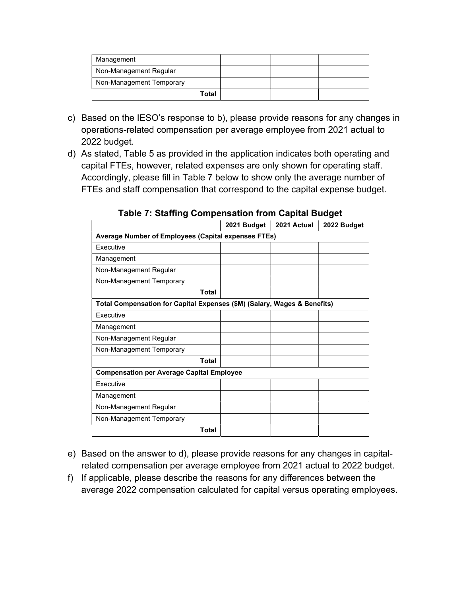| Management               |  |  |
|--------------------------|--|--|
| Non-Management Regular   |  |  |
| Non-Management Temporary |  |  |
| Total                    |  |  |

- c) Based on the IESO's response to b), please provide reasons for any changes in operations-related compensation per average employee from 2021 actual to 2022 budget.
- d) As stated, Table 5 as provided in the application indicates both operating and capital FTEs, however, related expenses are only shown for operating staff. Accordingly, please fill in Table 7 below to show only the average number of FTEs and staff compensation that correspond to the capital expense budget.

|                                                                          | 2021 Budget | 2021 Actual | 2022 Budget |  |  |
|--------------------------------------------------------------------------|-------------|-------------|-------------|--|--|
| Average Number of Employees (Capital expenses FTEs)                      |             |             |             |  |  |
| <b>Fxecutive</b>                                                         |             |             |             |  |  |
| Management                                                               |             |             |             |  |  |
| Non-Management Regular                                                   |             |             |             |  |  |
| Non-Management Temporary                                                 |             |             |             |  |  |
| Total                                                                    |             |             |             |  |  |
| Total Compensation for Capital Expenses (\$M) (Salary, Wages & Benefits) |             |             |             |  |  |
| Executive                                                                |             |             |             |  |  |
| Management                                                               |             |             |             |  |  |
| Non-Management Regular                                                   |             |             |             |  |  |
| Non-Management Temporary                                                 |             |             |             |  |  |
| <b>Total</b>                                                             |             |             |             |  |  |
| <b>Compensation per Average Capital Employee</b>                         |             |             |             |  |  |
| <b>Fxecutive</b>                                                         |             |             |             |  |  |
| Management                                                               |             |             |             |  |  |
| Non-Management Regular                                                   |             |             |             |  |  |
| Non-Management Temporary                                                 |             |             |             |  |  |
| <b>Total</b>                                                             |             |             |             |  |  |

Table 7: Staffing Compensation from Capital Budget

- e) Based on the answer to d), please provide reasons for any changes in capitalrelated compensation per average employee from 2021 actual to 2022 budget.
- f) If applicable, please describe the reasons for any differences between the average 2022 compensation calculated for capital versus operating employees.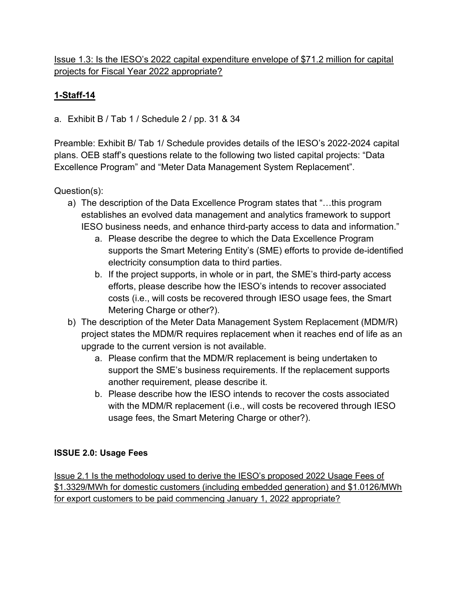## Issue 1.3: Is the IESO's 2022 capital expenditure envelope of \$71.2 million for capital projects for Fiscal Year 2022 appropriate?

# 1-Staff-14

a. Exhibit B / Tab 1 / Schedule 2 / pp. 31 & 34

Preamble: Exhibit B/ Tab 1/ Schedule provides details of the IESO's 2022-2024 capital plans. OEB staff's questions relate to the following two listed capital projects: "Data Excellence Program" and "Meter Data Management System Replacement".

Question(s):

- a) The description of the Data Excellence Program states that "…this program establishes an evolved data management and analytics framework to support IESO business needs, and enhance third-party access to data and information."
	- a. Please describe the degree to which the Data Excellence Program supports the Smart Metering Entity's (SME) efforts to provide de-identified electricity consumption data to third parties.
	- b. If the project supports, in whole or in part, the SME's third-party access efforts, please describe how the IESO's intends to recover associated costs (i.e., will costs be recovered through IESO usage fees, the Smart Metering Charge or other?).
- b) The description of the Meter Data Management System Replacement (MDM/R) project states the MDM/R requires replacement when it reaches end of life as an upgrade to the current version is not available.
	- a. Please confirm that the MDM/R replacement is being undertaken to support the SME's business requirements. If the replacement supports another requirement, please describe it.
	- b. Please describe how the IESO intends to recover the costs associated with the MDM/R replacement (i.e., will costs be recovered through IESO usage fees, the Smart Metering Charge or other?).

## ISSUE 2.0: Usage Fees

Issue 2.1 Is the methodology used to derive the IESO's proposed 2022 Usage Fees of \$1.3329/MWh for domestic customers (including embedded generation) and \$1.0126/MWh for export customers to be paid commencing January 1, 2022 appropriate?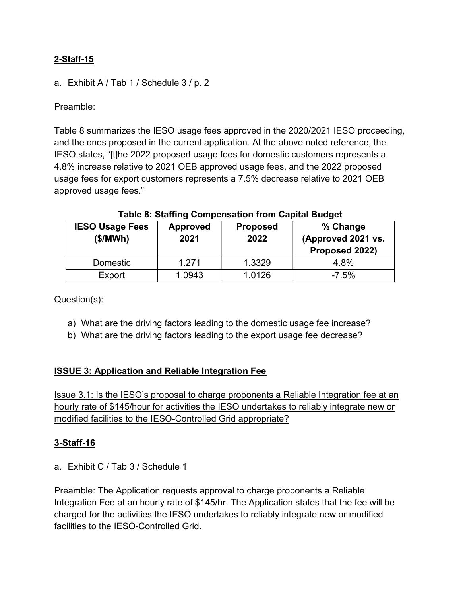a. Exhibit A / Tab 1 / Schedule 3 / p. 2

Preamble:

Table 8 summarizes the IESO usage fees approved in the 2020/2021 IESO proceeding, and the ones proposed in the current application. At the above noted reference, the IESO states, "[t]he 2022 proposed usage fees for domestic customers represents a 4.8% increase relative to 2021 OEB approved usage fees, and the 2022 proposed usage fees for export customers represents a 7.5% decrease relative to 2021 OEB approved usage fees."

| <b>IESO Usage Fees</b><br>(\$/MWh) | <b>Approved</b><br>2021 | <b>Proposed</b><br>2022 | % Change<br>(Approved 2021 vs.<br>Proposed 2022) |
|------------------------------------|-------------------------|-------------------------|--------------------------------------------------|
| Domestic                           | 1.271                   | 1.3329                  | 4.8%                                             |
| Export                             | 1.0943                  | 1.0126                  | $-7.5%$                                          |

#### Table 8: Staffing Compensation from Capital Budget

Question(s):

- a) What are the driving factors leading to the domestic usage fee increase?
- b) What are the driving factors leading to the export usage fee decrease?

#### ISSUE 3: Application and Reliable Integration Fee

Issue 3.1: Is the IESO's proposal to charge proponents a Reliable Integration fee at an hourly rate of \$145/hour for activities the IESO undertakes to reliably integrate new or modified facilities to the IESO-Controlled Grid appropriate?

#### 3-Staff-16

a. Exhibit C / Tab 3 / Schedule 1

Preamble: The Application requests approval to charge proponents a Reliable Integration Fee at an hourly rate of \$145/hr. The Application states that the fee will be charged for the activities the IESO undertakes to reliably integrate new or modified facilities to the IESO-Controlled Grid.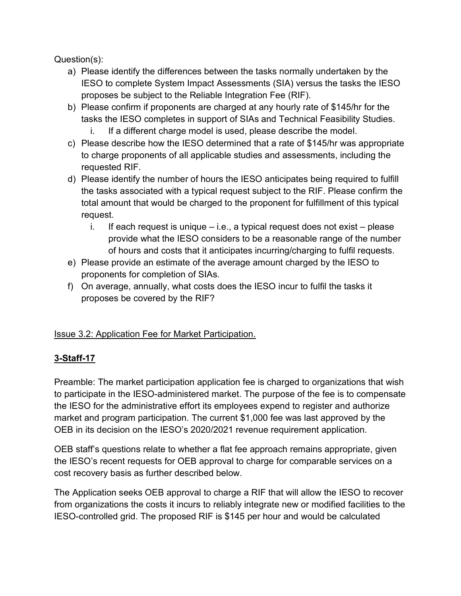Question(s):

- a) Please identify the differences between the tasks normally undertaken by the IESO to complete System Impact Assessments (SIA) versus the tasks the IESO proposes be subject to the Reliable Integration Fee (RIF).
- b) Please confirm if proponents are charged at any hourly rate of \$145/hr for the tasks the IESO completes in support of SIAs and Technical Feasibility Studies.
	- i. If a different charge model is used, please describe the model.
- c) Please describe how the IESO determined that a rate of \$145/hr was appropriate to charge proponents of all applicable studies and assessments, including the requested RIF.
- d) Please identify the number of hours the IESO anticipates being required to fulfill the tasks associated with a typical request subject to the RIF. Please confirm the total amount that would be charged to the proponent for fulfillment of this typical request.
	- i. If each request is unique  $-$  i.e., a typical request does not exist  $-$  please provide what the IESO considers to be a reasonable range of the number of hours and costs that it anticipates incurring/charging to fulfil requests.
- e) Please provide an estimate of the average amount charged by the IESO to proponents for completion of SIAs.
- f) On average, annually, what costs does the IESO incur to fulfil the tasks it proposes be covered by the RIF?

# Issue 3.2: Application Fee for Market Participation.

# 3-Staff-17

Preamble: The market participation application fee is charged to organizations that wish to participate in the IESO-administered market. The purpose of the fee is to compensate the IESO for the administrative effort its employees expend to register and authorize market and program participation. The current \$1,000 fee was last approved by the OEB in its decision on the IESO's 2020/2021 revenue requirement application.

OEB staff's questions relate to whether a flat fee approach remains appropriate, given the IESO's recent requests for OEB approval to charge for comparable services on a cost recovery basis as further described below.

The Application seeks OEB approval to charge a RIF that will allow the IESO to recover from organizations the costs it incurs to reliably integrate new or modified facilities to the IESO-controlled grid. The proposed RIF is \$145 per hour and would be calculated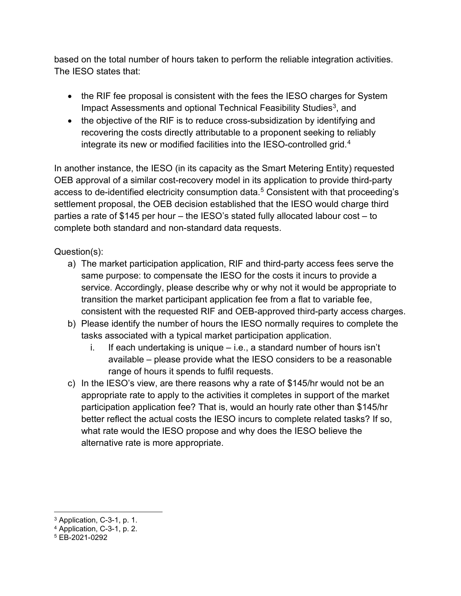based on the total number of hours taken to perform the reliable integration activities. The IESO states that:

- the RIF fee proposal is consistent with the fees the IESO charges for System Impact Assessments and optional Technical Feasibility Studies<sup>3</sup>, and
- the objective of the RIF is to reduce cross-subsidization by identifying and recovering the costs directly attributable to a proponent seeking to reliably integrate its new or modified facilities into the IESO-controlled grid.<sup>4</sup>

In another instance, the IESO (in its capacity as the Smart Metering Entity) requested OEB approval of a similar cost-recovery model in its application to provide third-party access to de-identified electricity consumption data. $^5$  Consistent with that proceeding's settlement proposal, the OEB decision established that the IESO would charge third parties a rate of \$145 per hour – the IESO's stated fully allocated labour cost – to complete both standard and non-standard data requests.

- a) The market participation application, RIF and third-party access fees serve the same purpose: to compensate the IESO for the costs it incurs to provide a service. Accordingly, please describe why or why not it would be appropriate to transition the market participant application fee from a flat to variable fee, consistent with the requested RIF and OEB-approved third-party access charges.
- b) Please identify the number of hours the IESO normally requires to complete the tasks associated with a typical market participation application.
	- i. If each undertaking is unique  $-$  i.e., a standard number of hours isn't available – please provide what the IESO considers to be a reasonable range of hours it spends to fulfil requests.
- c) In the IESO's view, are there reasons why a rate of \$145/hr would not be an appropriate rate to apply to the activities it completes in support of the market participation application fee? That is, would an hourly rate other than \$145/hr better reflect the actual costs the IESO incurs to complete related tasks? If so, what rate would the IESO propose and why does the IESO believe the alternative rate is more appropriate.

<sup>3</sup> Application, C-3-1, p. 1.

<sup>4</sup> Application, C-3-1, p. 2.

<sup>5</sup> EB-2021-0292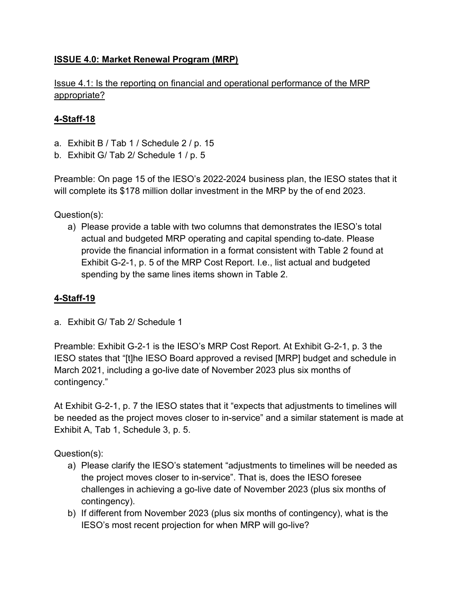## ISSUE 4.0: Market Renewal Program (MRP)

Issue 4.1: Is the reporting on financial and operational performance of the MRP appropriate?

## 4-Staff-18

- a. Exhibit B / Tab 1 / Schedule 2 / p. 15
- b. Exhibit G/ Tab 2/ Schedule 1 / p. 5

Preamble: On page 15 of the IESO's 2022-2024 business plan, the IESO states that it will complete its \$178 million dollar investment in the MRP by the of end 2023.

Question(s):

a) Please provide a table with two columns that demonstrates the IESO's total actual and budgeted MRP operating and capital spending to-date. Please provide the financial information in a format consistent with Table 2 found at Exhibit G-2-1, p. 5 of the MRP Cost Report. I.e., list actual and budgeted spending by the same lines items shown in Table 2.

## 4-Staff-19

a. Exhibit G/ Tab 2/ Schedule 1

Preamble: Exhibit G-2-1 is the IESO's MRP Cost Report. At Exhibit G-2-1, p. 3 the IESO states that "[t]he IESO Board approved a revised [MRP] budget and schedule in March 2021, including a go-live date of November 2023 plus six months of contingency."

At Exhibit G-2-1, p. 7 the IESO states that it "expects that adjustments to timelines will be needed as the project moves closer to in-service" and a similar statement is made at Exhibit A, Tab 1, Schedule 3, p. 5.

- a) Please clarify the IESO's statement "adjustments to timelines will be needed as the project moves closer to in-service". That is, does the IESO foresee challenges in achieving a go-live date of November 2023 (plus six months of contingency).
- b) If different from November 2023 (plus six months of contingency), what is the IESO's most recent projection for when MRP will go-live?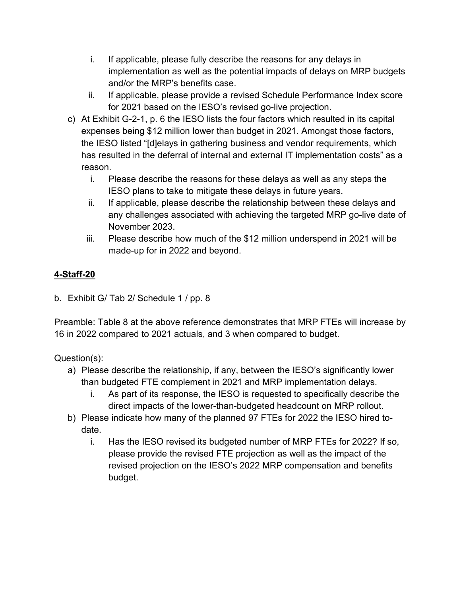- i. If applicable, please fully describe the reasons for any delays in implementation as well as the potential impacts of delays on MRP budgets and/or the MRP's benefits case.
- ii. If applicable, please provide a revised Schedule Performance Index score for 2021 based on the IESO's revised go-live projection.
- c) At Exhibit G-2-1, p. 6 the IESO lists the four factors which resulted in its capital expenses being \$12 million lower than budget in 2021. Amongst those factors, the IESO listed "[d]elays in gathering business and vendor requirements, which has resulted in the deferral of internal and external IT implementation costs" as a reason.
	- i. Please describe the reasons for these delays as well as any steps the IESO plans to take to mitigate these delays in future years.
	- ii. If applicable, please describe the relationship between these delays and any challenges associated with achieving the targeted MRP go-live date of November 2023.
	- iii. Please describe how much of the \$12 million underspend in 2021 will be made-up for in 2022 and beyond.

b. Exhibit G/ Tab 2/ Schedule 1 / pp. 8

Preamble: Table 8 at the above reference demonstrates that MRP FTEs will increase by 16 in 2022 compared to 2021 actuals, and 3 when compared to budget.

- a) Please describe the relationship, if any, between the IESO's significantly lower than budgeted FTE complement in 2021 and MRP implementation delays.
	- i. As part of its response, the IESO is requested to specifically describe the direct impacts of the lower-than-budgeted headcount on MRP rollout.
- b) Please indicate how many of the planned 97 FTEs for 2022 the IESO hired todate.
	- i. Has the IESO revised its budgeted number of MRP FTEs for 2022? If so, please provide the revised FTE projection as well as the impact of the revised projection on the IESO's 2022 MRP compensation and benefits budget.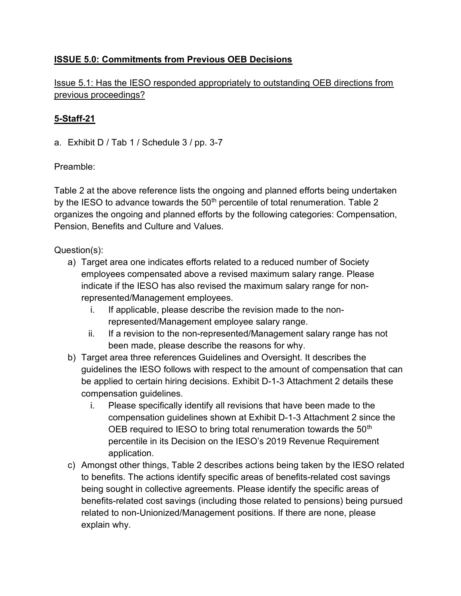## ISSUE 5.0: Commitments from Previous OEB Decisions

Issue 5.1: Has the IESO responded appropriately to outstanding OEB directions from previous proceedings?

## 5-Staff-21

a. Exhibit D / Tab 1 / Schedule 3 / pp. 3-7

## Preamble:

Table 2 at the above reference lists the ongoing and planned efforts being undertaken by the IESO to advance towards the  $50<sup>th</sup>$  percentile of total renumeration. Table 2 organizes the ongoing and planned efforts by the following categories: Compensation, Pension, Benefits and Culture and Values.

- a) Target area one indicates efforts related to a reduced number of Society employees compensated above a revised maximum salary range. Please indicate if the IESO has also revised the maximum salary range for nonrepresented/Management employees.
	- i. If applicable, please describe the revision made to the nonrepresented/Management employee salary range.
	- ii. If a revision to the non-represented/Management salary range has not been made, please describe the reasons for why.
- b) Target area three references Guidelines and Oversight. It describes the guidelines the IESO follows with respect to the amount of compensation that can be applied to certain hiring decisions. Exhibit D-1-3 Attachment 2 details these compensation guidelines.
	- i. Please specifically identify all revisions that have been made to the compensation guidelines shown at Exhibit D-1-3 Attachment 2 since the OEB required to IESO to bring total renumeration towards the 50<sup>th</sup> percentile in its Decision on the IESO's 2019 Revenue Requirement application.
- c) Amongst other things, Table 2 describes actions being taken by the IESO related to benefits. The actions identify specific areas of benefits-related cost savings being sought in collective agreements. Please identify the specific areas of benefits-related cost savings (including those related to pensions) being pursued related to non-Unionized/Management positions. If there are none, please explain why.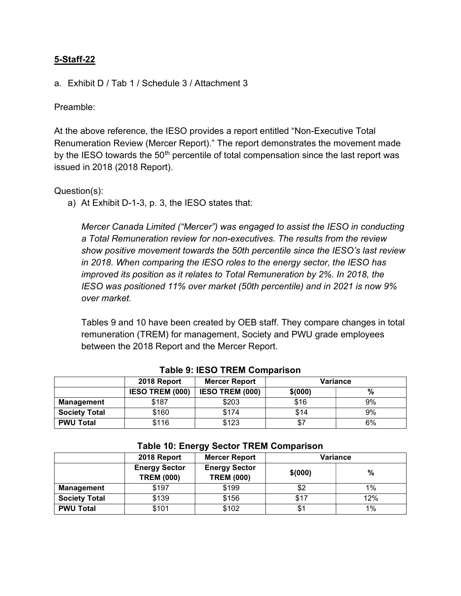a. Exhibit D / Tab 1 / Schedule 3 / Attachment 3

Preamble:

At the above reference, the IESO provides a report entitled "Non-Executive Total Renumeration Review (Mercer Report)." The report demonstrates the movement made by the IESO towards the  $50<sup>th</sup>$  percentile of total compensation since the last report was issued in 2018 (2018 Report).

#### Question(s):

a) At Exhibit D-1-3, p. 3, the IESO states that:

Mercer Canada Limited ("Mercer") was engaged to assist the IESO in conducting a Total Remuneration review for non-executives. The results from the review show positive movement towards the 50th percentile since the IESO's last review in 2018. When comparing the IESO roles to the energy sector, the IESO has improved its position as it relates to Total Remuneration by 2%. In 2018, the IESO was positioned 11% over market (50th percentile) and in 2021 is now 9% over market.

Tables 9 and 10 have been created by OEB staff. They compare changes in total remuneration (TREM) for management, Society and PWU grade employees between the 2018 Report and the Mercer Report.

|                      | 2018 Report            | <b>Mercer Report</b>   | <b>Variance</b> |    |  |
|----------------------|------------------------|------------------------|-----------------|----|--|
|                      | <b>IESO TREM (000)</b> | <b>IESO TREM (000)</b> | \$(000)         | %  |  |
| Management           | \$187                  | \$203                  | \$16            | 9% |  |
| <b>Society Total</b> | \$160                  | \$174                  | \$14            | 9% |  |
| <b>PWU Total</b>     | \$116                  | \$123                  | \$7             | 6% |  |

#### Table 9: IESO TREM Comparison

|                      | $1.0010$ ivi milvigi vuoltui III.min vuliipulluvil |                                           |         |          |  |  |
|----------------------|----------------------------------------------------|-------------------------------------------|---------|----------|--|--|
|                      | 2018 Report                                        | <b>Mercer Report</b>                      |         | Variance |  |  |
|                      | <b>Energy Sector</b><br><b>TREM (000)</b>          | <b>Energy Sector</b><br><b>TREM (000)</b> | \$(000) |          |  |  |
| <b>Management</b>    | \$197                                              | \$199                                     | \$2     | $1\%$    |  |  |
| <b>Society Total</b> | \$139                                              | \$156                                     | \$17    | 12%      |  |  |
| <b>PWU Total</b>     | \$101                                              | \$102                                     | \$1     | 1%       |  |  |

#### Table 10: Energy Sector TREM Comparison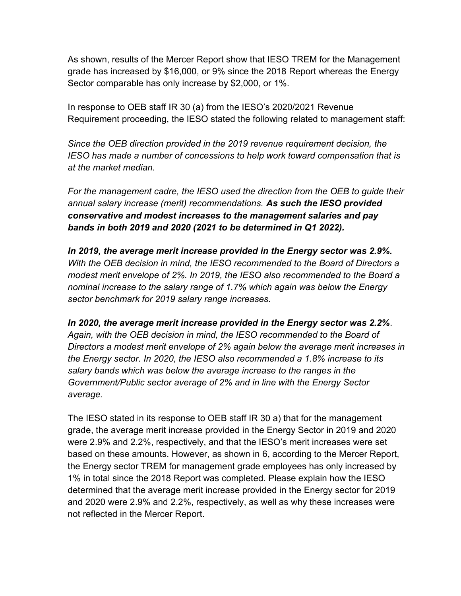As shown, results of the Mercer Report show that IESO TREM for the Management grade has increased by \$16,000, or 9% since the 2018 Report whereas the Energy Sector comparable has only increase by \$2,000, or 1%.

In response to OEB staff IR 30 (a) from the IESO's 2020/2021 Revenue Requirement proceeding, the IESO stated the following related to management staff:

Since the OEB direction provided in the 2019 revenue requirement decision, the IESO has made a number of concessions to help work toward compensation that is at the market median.

For the management cadre, the IESO used the direction from the OEB to guide their annual salary increase (merit) recommendations. As such the IESO provided conservative and modest increases to the management salaries and pay bands in both 2019 and 2020 (2021 to be determined in Q1 2022).

In 2019, the average merit increase provided in the Energy sector was 2.9%. With the OEB decision in mind, the IESO recommended to the Board of Directors a modest merit envelope of 2%. In 2019, the IESO also recommended to the Board a nominal increase to the salary range of 1.7% which again was below the Energy sector benchmark for 2019 salary range increases.

In 2020, the average merit increase provided in the Energy sector was 2.2%. Again, with the OEB decision in mind, the IESO recommended to the Board of Directors a modest merit envelope of 2% again below the average merit increases in the Energy sector. In 2020, the IESO also recommended a 1.8% increase to its salary bands which was below the average increase to the ranges in the Government/Public sector average of 2% and in line with the Energy Sector average.

The IESO stated in its response to OEB staff IR 30 a) that for the management grade, the average merit increase provided in the Energy Sector in 2019 and 2020 were 2.9% and 2.2%, respectively, and that the IESO's merit increases were set based on these amounts. However, as shown in 6, according to the Mercer Report, the Energy sector TREM for management grade employees has only increased by 1% in total since the 2018 Report was completed. Please explain how the IESO determined that the average merit increase provided in the Energy sector for 2019 and 2020 were 2.9% and 2.2%, respectively, as well as why these increases were not reflected in the Mercer Report.